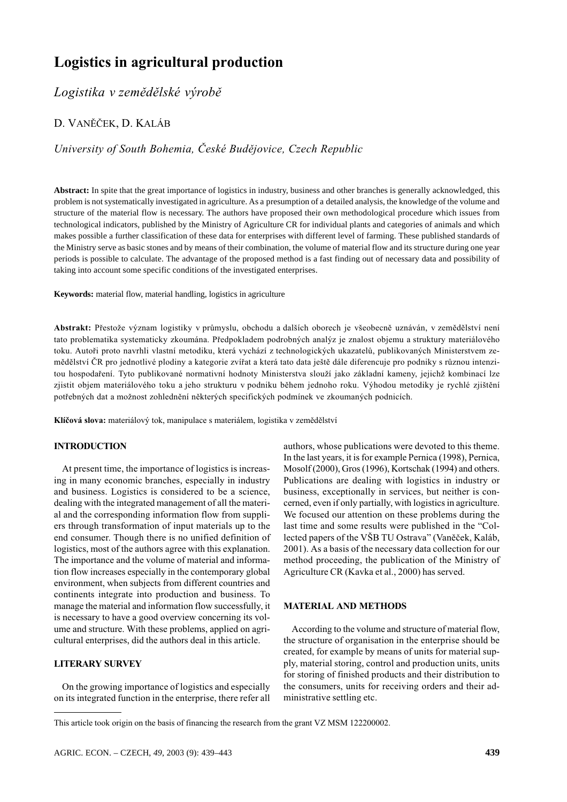# Logistics in agricultural production

# Logistika v zemědělské výrobě

## D. VANĚČEK, D. KALÁB

## University of South Bohemia, České Budějovice, Czech Republic

**Abstract:** In spite that the great importance of logistics in industry, business and other branches is generally acknowledged, this problem is not systematically investigated in agriculture. As a presumption of a detailed analysis, the knowledge of the volume and structure of the material flow is necessary. The authors have proposed their own methodological procedure which issues from technological indicators, published by the Ministry of Agriculture CR for individual plants and categories of animals and which makes possible a further classification of these data for enterprises with different level of farming. These published standards of the Ministry serve as basic stones and by means of their combination, the volume of material flow and its structure during one year periods is possible to calculate. The advantage of the proposed method is a fast finding out of necessary data and possibility of taking into account some specific conditions of the investigated enterprises.

**Keywords:** material flow, material handling, logistics in agriculture

Abstrakt: Přestože význam logistiky v průmyslu, obchodu a dalších oborech je všeobecně uznáván, v zemědělství není tato problematika systematicky zkoumána. Předpokladem podrobných analýz je znalost objemu a struktury materiálového toku. Autoři proto navrhli vlastní metodiku, která vychází z technologických ukazatelů, publikovaných Ministerstvem zemědělství ČR pro jednotlivé plodiny a kategorie zvířat a která tato data ještě dále diferencuje pro podniky s různou intenzitou hospodaření. Tyto publikované normativní hodnoty Ministerstva slouží jako základní kameny, jejichž kombinací lze zjistit objem materiálového toku a jeho strukturu v podniku během jednoho roku. Výhodou metodiky je rychlé zjištění potřebných dat a možnost zohlednění některých specifických podmínek ve zkoumaných podnicích.

Klíčová slova: materiálový tok, manipulace s materiálem, logistika v zemědělství

#### **INTRODUCTION**

At present time, the importance of logistics is increasing in many economic branches, especially in industry and business. Logistics is considered to be a science, dealing with the integrated management of all the material and the corresponding information flow from suppliers through transformation of input materials up to the end consumer. Though there is no unified definition of logistics, most of the authors agree with this explanation. The importance and the volume of material and information flow increases especially in the contemporary global environment, when subjects from different countries and continents integrate into production and business. To manage the material and information flow successfully, it is necessary to have a good overview concerning its volume and structure. With these problems, applied on agricultural enterprises, did the authors deal in this article.

#### **LITERARY SURVEY**

On the growing importance of logistics and especially on its integrated function in the enterprise, there refer all authors, whose publications were devoted to this theme. In the last years, it is for example Pernica (1998), Pernica, Mosolf (2000), Gros (1996), Kortschak (1994) and others. Publications are dealing with logistics in industry or business, exceptionally in services, but neither is concerned, even if only partially, with logistics in agriculture. We focused our attention on these problems during the last time and some results were published in the "Collected papers of the VŠB TU Ostrava" (Vaněček, Kaláb, 2001). As a basis of the necessary data collection for our method proceeding, the publication of the Ministry of Agriculture CR (Kavka et al., 2000) has served.

#### **MATERIAL AND METHODS**

According to the volume and structure of material flow, the structure of organisation in the enterprise should be created, for example by means of units for material supply, material storing, control and production units, units for storing of finished products and their distribution to the consumers, units for receiving orders and their administrative settling etc.

This article took origin on the basis of financing the research from the grant VZ MSM 122200002.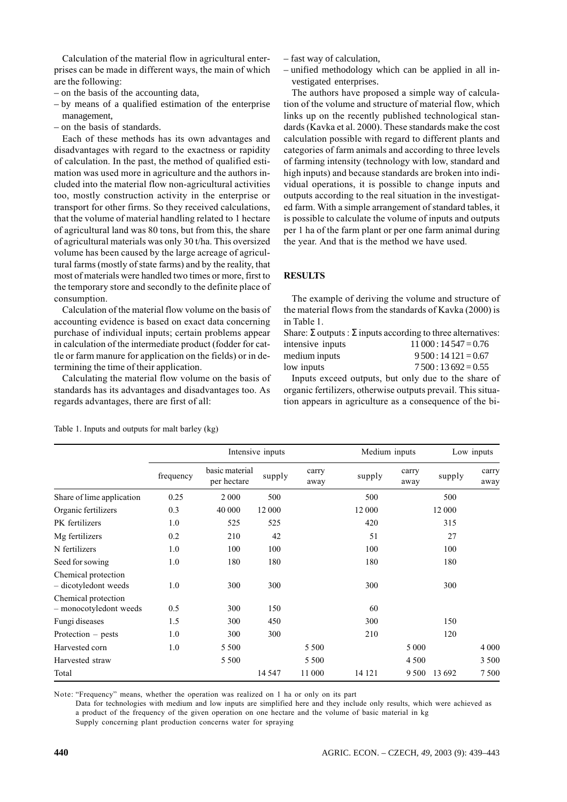Calculation of the material flow in agricultural enterprises can be made in different ways, the main of which are the following:

- $-$  on the basis of the accounting data.
- $-$  by means of a qualified estimation of the enterprise management,
- $-$  on the basis of standards.

Each of these methods has its own advantages and disadvantages with regard to the exactness or rapidity of calculation. In the past, the method of qualified estimation was used more in agriculture and the authors included into the material flow non-agricultural activities too, mostly construction activity in the enterprise or transport for other firms. So they received calculations. that the volume of material handling related to 1 hectare of agricultural land was 80 tons, but from this, the share of agricultural materials was only 30 t/ha. This oversized volume has been caused by the large acreage of agricultural farms (mostly of state farms) and by the reality, that most of materials were handled two times or more, first to the temporary store and secondly to the definite place of consumption.

Calculation of the material flow volume on the basis of accounting evidence is based on exact data concerning purchase of individual inputs; certain problems appear in calculation of the intermediate product (fodder for cattle or farm manure for application on the fields) or in determining the time of their application.

Calculating the material flow volume on the basis of standards has its advantages and disadvantages too. As regards advantages, there are first of all:

- fast way of calculation,
- unified methodology which can be applied in all investigated enterprises.

The authors have proposed a simple way of calculation of the volume and structure of material flow, which links up on the recently published technological standards (Kavka et al. 2000). These standards make the cost calculation possible with regard to different plants and categories of farm animals and according to three levels of farming intensity (technology with low, standard and high inputs) and because standards are broken into individual operations, it is possible to change inputs and outputs according to the real situation in the investigated farm. With a simple arrangement of standard tables, it is possible to calculate the volume of inputs and outputs per 1 ha of the farm plant or per one farm animal during the year. And that is the method we have used.

#### **RESULTS**

The example of deriving the volume and structure of the material flows from the standards of Kayka (2000) is in Table 1.

|                  | Share: $\Sigma$ outputs : $\Sigma$ inputs according to three alternatives: |
|------------------|----------------------------------------------------------------------------|
| intensive inputs | $11\,000$ : $14\,547 = 0.76$                                               |
| medium inputs    | $9500:14121=0.67$                                                          |
| low inputs       | $7500:13692=0.55$                                                          |
|                  |                                                                            |

Inputs exceed outputs, but only due to the share of organic fertilizers, otherwise outputs prevail. This situation appears in agriculture as a consequence of the bi-

| Intensive inputs |                               |         |               | Medium inputs |               | Low inputs |                               |
|------------------|-------------------------------|---------|---------------|---------------|---------------|------------|-------------------------------|
| frequency        | basic material<br>per hectare | supply  | carry<br>away | supply        | carry<br>away | supply     | carry<br>away                 |
| 0.25             | 2 0 0 0                       | 500     |               | 500           |               | 500        |                               |
| 0.3              | 40 000                        | 12 000  |               | 12 000        |               | 12 000     |                               |
| 1.0              | 525                           | 525     |               | 420           |               | 315        |                               |
| 0.2              | 210                           | 42      |               | 51            |               | 27         |                               |
| 1.0              | 100                           | 100     |               | 100           |               | 100        |                               |
| 1.0              | 180                           | 180     |               | 180           |               | 180        |                               |
| 1.0              | 300                           | 300     |               | 300           |               | 300        |                               |
| 0.5              | 300                           | 150     |               | 60            |               |            |                               |
| 1.5              | 300                           | 450     |               | 300           |               | 150        |                               |
| 1.0              | 300                           | 300     |               | 210           |               | 120        |                               |
| 1.0              | 5 5 0 0                       |         | 5 5 0 0       |               |               |            | 4 0 0 0                       |
|                  | 5 5 0 0                       |         | 5 5 0 0       |               |               |            | 3 500                         |
|                  |                               | 14 5 47 | 11 000        | 14 12 1       |               | 13 692     | 7500                          |
|                  |                               |         |               |               |               |            | 5 0 0 0<br>4 5 0 0<br>9 5 0 0 |

Table 1. Inputs and outputs for malt barley (kg)

Note: "Frequency" means, whether the operation was realized on 1 ha or only on its part

Data for technologies with medium and low inputs are simplified here and they include only results, which were achieved as a product of the frequency of the given operation on one hectare and the volume of basic material in kg Supply concerning plant production concerns water for spraying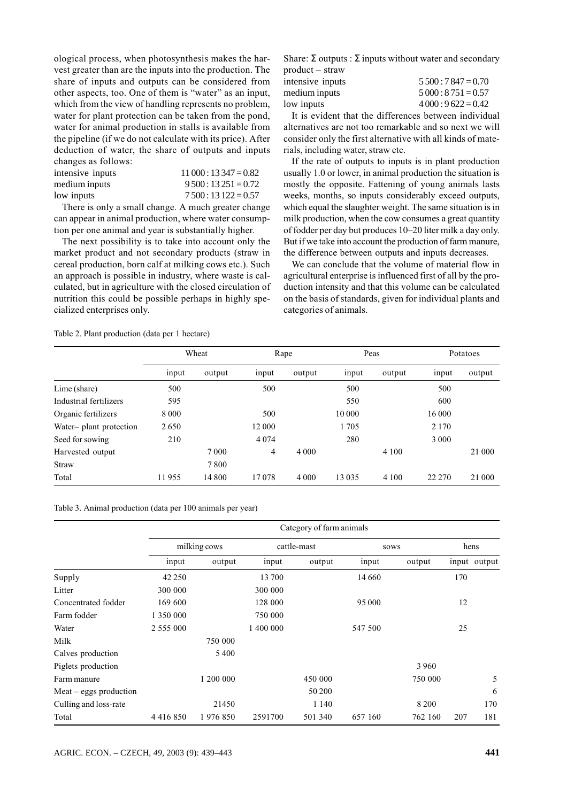ological process, when photosynthesis makes the harvest greater than are the inputs into the production. The share of inputs and outputs can be considered from other aspects, too. One of them is "water" as an input. which from the view of handling represents no problem. water for plant protection can be taken from the pond, water for animal production in stalls is available from the pipeline (if we do not calculate with its price). After deduction of water, the share of outputs and inputs changes as follows:

| intensive inputs | $11\,000:13\,347=0.82$ |
|------------------|------------------------|
| medium inputs    | $9500:13251=0.72$      |
| low inputs       | $7500:13122=0.57$      |

There is only a small change. A much greater change can appear in animal production, where water consumption per one animal and year is substantially higher.

The next possibility is to take into account only the market product and not secondary products (straw in cereal production, born calf at milking cows etc.). Such an approach is possible in industry, where waste is calculated, but in agriculture with the closed circulation of nutrition this could be possible perhaps in highly specialized enterprises only.

Share:  $\Sigma$  outputs:  $\Sigma$  inputs without water and secondary  $product - straw$ 

| intensive inputs | $5500:7847=0.70$ |
|------------------|------------------|
| medium inputs    | $5000:8751=0.57$ |
| low inputs       | $4000:9622=0.42$ |

It is evident that the differences between individual alternatives are not too remarkable and so next we will consider only the first alternative with all kinds of materials, including water, straw etc.

If the rate of outputs to inputs is in plant production usually 1.0 or lower, in animal production the situation is mostly the opposite. Fattening of young animals lasts weeks, months, so inputs considerably exceed outputs. which equal the slaughter weight. The same situation is in milk production, when the cow consumes a great quantity of fodder per day but produces 10–20 liter milk a day only. But if we take into account the production of farm manure. the difference between outputs and inputs decreases.

We can conclude that the volume of material flow in agricultural enterprise is influenced first of all by the production intensity and that this volume can be calculated on the basis of standards, given for individual plants and categories of animals.

Table 2. Plant production (data per 1 hectare)

|                         | Wheat   |         | Rape    |         | Peas    |         | Potatoes |        |
|-------------------------|---------|---------|---------|---------|---------|---------|----------|--------|
|                         | input   | output  | input   | output  | input   | output  | input    | output |
| Lime (share)            | 500     |         | 500     |         | 500     |         | 500      |        |
| Industrial fertilizers  | 595     |         |         |         | 550     |         | 600      |        |
| Organic fertilizers     | 8 0 0 0 |         | 500     |         | 10 000  |         | 16 000   |        |
| Water- plant protection | 2650    |         | 12 000  |         | 1705    |         | 2 1 7 0  |        |
| Seed for sowing         | 210     |         | 4 0 7 4 |         | 280     |         | 3 0 0 0  |        |
| Harvested output        |         | 7 0 0 0 | 4       | 4 0 0 0 |         | 4 1 0 0 |          | 21 000 |
| <b>Straw</b>            |         | 7800    |         |         |         |         |          |        |
| Total                   | 11955   | 14 800  | 17078   | 4 0 0 0 | 13 0 35 | 4 1 0 0 | 22 2 7 0 | 21 000 |

Table 3. Animal production (data per 100 animals per year)

|                          | Category of farm animals |           |             |         |         |         |      |              |
|--------------------------|--------------------------|-----------|-------------|---------|---------|---------|------|--------------|
|                          | milking cows             |           | cattle-mast |         | sows    |         | hens |              |
|                          | input                    | output    | input       | output  | input   | output  |      | input output |
| Supply                   | 42 250                   |           | 13 700      |         | 14 660  |         | 170  |              |
| Litter                   | 300 000                  |           | 300 000     |         |         |         |      |              |
| Concentrated fodder      | 169 600                  |           | 128 000     |         | 95 000  |         | 12   |              |
| Farm fodder              | 1 350 000                |           | 750 000     |         |         |         |      |              |
| Water                    | 2 5 5 5 0 0 0            |           | 1 400 000   |         | 547 500 |         | 25   |              |
| Milk                     |                          | 750 000   |             |         |         |         |      |              |
| Calves production        |                          | 5400      |             |         |         |         |      |              |
| Piglets production       |                          |           |             |         |         | 3 9 6 0 |      |              |
| Farm manure              |                          | 1 200 000 |             | 450 000 |         | 750 000 |      | 5            |
| $Meat - eggs$ production |                          |           |             | 50 200  |         |         |      | 6            |
| Culling and loss-rate    |                          | 21450     |             | 1 1 4 0 |         | 8 2 0 0 |      | 170          |
| Total                    | 4 4 1 6 8 5 0            | 1976850   | 2591700     | 501 340 | 657 160 | 762 160 | 207  | 181          |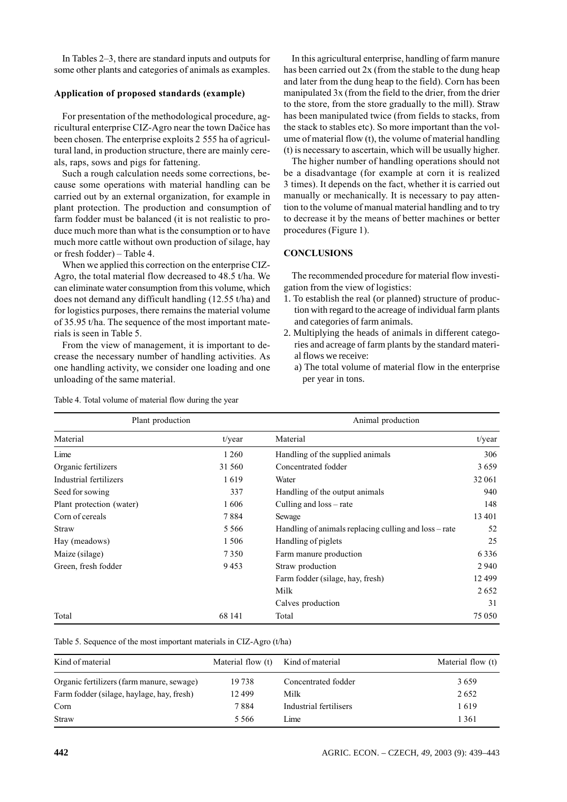In Tables 2–3, there are standard inputs and outputs for some other plants and categories of animals as examples.

#### Application of proposed standards (example)

For presentation of the methodological procedure, agricultural enterprise CIZ-Agro near the town Dačice has been chosen. The enterprise exploits 2 555 ha of agricultural land, in production structure, there are mainly cereals, raps, sows and pigs for fattening.

Such a rough calculation needs some corrections, because some operations with material handling can be carried out by an external organization, for example in plant protection. The production and consumption of farm fodder must be balanced (it is not realistic to produce much more than what is the consumption or to have much more cattle without own production of silage, hay or fresh fodder) - Table 4.

When we applied this correction on the enterprise CIZ-Agro, the total material flow decreased to 48.5 t/ha. We can eliminate water consumption from this volume, which does not demand any difficult handling  $(12.55 t/ha)$  and for logistics purposes, there remains the material volume of 35.95 t/ha. The sequence of the most important materials is seen in Table 5.

From the view of management, it is important to decrease the necessary number of handling activities. As one handling activity, we consider one loading and one unloading of the same material.

In this agricultural enterprise, handling of farm manure has been carried out 2x (from the stable to the dung heap and later from the dung heap to the field). Corn has been manipulated 3x (from the field to the drier, from the drier to the store, from the store gradually to the mill). Straw has been manipulated twice (from fields to stacks, from the stack to stables etc). So more important than the volume of material flow (t), the volume of material handling (t) is necessary to ascertain, which will be usually higher.

The higher number of handling operations should not be a disadvantage (for example at corn it is realized 3 times). It depends on the fact, whether it is carried out manually or mechanically. It is necessary to pay attention to the volume of manual material handling and to try to decrease it by the means of better machines or better procedures (Figure 1).

#### **CONCLUSIONS**

The recommended procedure for material flow investigation from the view of logistics:

- 1. To establish the real (or planned) structure of production with regard to the acreage of individual farm plants and categories of farm animals.
- 2. Multiplying the heads of animals in different categories and acreage of farm plants by the standard material flows we receive:
	- a) The total volume of material flow in the enterprise per year in tons.

| Plant production         |           | Animal production                                     |           |  |  |
|--------------------------|-----------|-------------------------------------------------------|-----------|--|--|
| Material                 | $t$ /year | Material                                              | $t$ /year |  |  |
| Lime                     | 1 2 6 0   | Handling of the supplied animals                      | 306       |  |  |
| Organic fertilizers      | 31 560    | Concentrated fodder                                   | 3659      |  |  |
| Industrial fertilizers   | 1619      | Water                                                 | 32 061    |  |  |
| Seed for sowing          | 337       | Handling of the output animals                        | 940       |  |  |
| Plant protection (water) | 1606      | Culling and loss - rate                               | 148       |  |  |
| Corn of cereals          | 7884      | Sewage                                                | 13 4 01   |  |  |
| <b>Straw</b>             | 5566      | Handling of animals replacing culling and loss – rate | 52        |  |  |
| Hay (meadows)            | 1506      | Handling of piglets                                   | 25        |  |  |
| Maize (silage)           | 7350      | Farm manure production                                | 6336      |  |  |
| Green, fresh fodder      | 9453      | Straw production                                      | 2940      |  |  |
|                          |           | Farm fodder (silage, hay, fresh)                      | 12 499    |  |  |
|                          |           | Milk                                                  | 2652      |  |  |
|                          |           | Calves production                                     | 31        |  |  |
| Total                    | 68 141    | Total                                                 | 75 050    |  |  |

Table 4. Total volume of material flow during the year

Table 5. Sequence of the most important materials in CIZ-Agro (t/ha)

| Kind of material                          | Material flow (t) | Kind of material       | Material flow (t) |
|-------------------------------------------|-------------------|------------------------|-------------------|
| Organic fertilizers (farm manure, sewage) | 19 738            | Concentrated fodder    | 3659              |
| Farm fodder (silage, haylage, hay, fresh) | 12499             | Milk                   | 2652              |
| Corn                                      | 7884              | Industrial fertilisers | 1619              |
| Straw                                     | 5 5 6 6           | Lime                   | 1 3 6 1           |